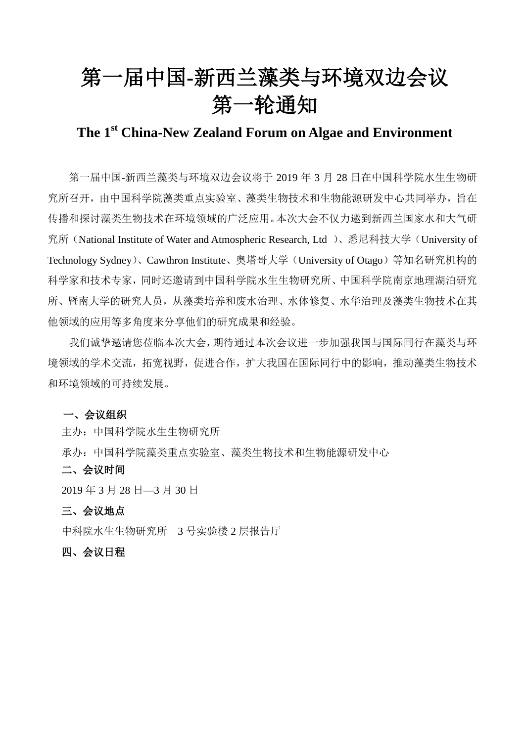# 第一届中国**-**新西兰藻类与环境双边会议 第一轮通知

## **The 1 st China-New Zealand Forum on Algae and Environment**

第一届中国-新西兰藻类与环境双边会议将于 2019 年 3 月 28 日在中国科学院水生生物研 究所召开,由中国科学院藻类重点实验室、藻类生物技术和生物能源研发中心共同举办,旨在 传播和探讨藻类生物技术在环境领域的广泛应用。本次大会不仅力邀到新西兰国家水和大气研 究所(National Institute of Water and Atmospheric Research, Ltd )、悉尼科技大学(University of Technology Sydney)、Cawthron Institute、奥塔哥大学(University of Otago)等知名研究机构的 科学家和技术专家,同时还邀请到中国科学院水生生物研究所、中国科学院南京地理湖泊研究 所、暨南大学的研究人员,从藻类培养和废水治理、水体修复、水华治理及藻类生物技术在其 他领域的应用等多角度来分享他们的研究成果和经验。

我们诚挚邀请您莅临本次大会,期待通过本次会议进一步加强我国与国际同行在藻类与环 境领域的学术交流,拓宽视野,促进合作,扩大我国在国际同行中的影响,推动藻类生物技术 和环境领域的可持续发展。

#### 一、会议组织

主办:中国科学院水生生物研究所

承办:中国科学院藻类重点实验室、藻类生物技术和生物能源研发中心

#### 二、会议时间

2019 年 3 月 28 日—3 月 30 日

#### 三、会议地点

中科院水生生物研究所 3 号实验楼 2 层报告厅

#### 四、会议日程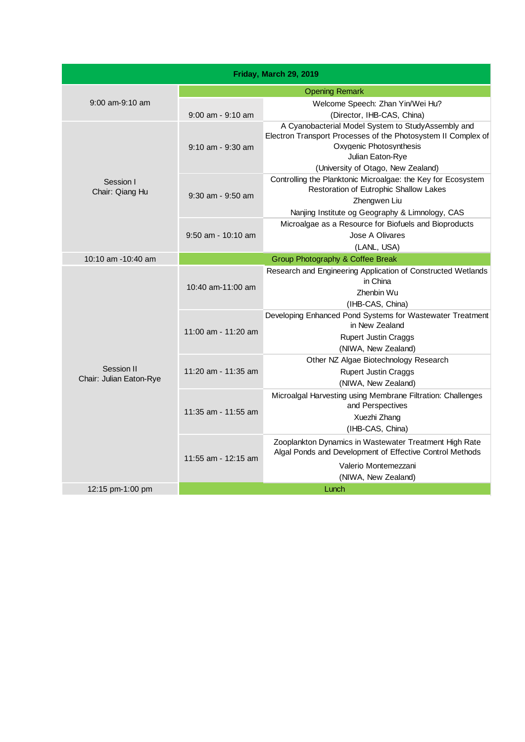| <b>Opening Remark</b><br>$9:00$ am- $9:10$ am<br>Welcome Speech: Zhan Yin/Wei Hu?<br>(Director, IHB-CAS, China)<br>$9:00$ am - $9:10$ am<br>A Cyanobacterial Model System to StudyAssembly and<br>Oxvgenic Photosynthesis<br>$9:10$ am - $9:30$ am<br>Julian Eaton-Rye<br>(University of Otago, New Zealand)<br>Controlling the Planktonic Microalgae: the Key for Ecosystem<br>Session I<br>Restoration of Eutrophic Shallow Lakes<br>Chair: Qiang Hu<br>$9:30$ am - $9:50$ am<br>Zhengwen Liu<br>Nanjing Institute og Geography & Limnology, CAS<br>Microalgae as a Resource for Biofuels and Bioproducts<br>$9:50$ am - 10:10 am<br>Jose A Olivares<br>(LANL, USA)<br>Group Photography & Coffee Break<br>10:10 am $-10:40$ am<br>Research and Engineering Application of Constructed Wetlands<br>in China<br>10:40 am-11:00 am<br>Zhenbin Wu<br>(IHB-CAS, China)<br>in New Zealand<br>11:00 am - 11:20 am<br><b>Rupert Justin Craggs</b><br>(NIWA, New Zealand)<br>Other NZ Algae Biotechnology Research<br>Session II<br>11:20 am - 11:35 am<br><b>Rupert Justin Craggs</b><br>Chair: Julian Eaton-Rye<br>(NIWA, New Zealand)<br>Microalgal Harvesting using Membrane Filtration: Challenges<br>and Perspectives<br>11:35 am - 11:55 am<br>Xuezhi Zhang<br>(IHB-CAS, China)<br>Zooplankton Dynamics in Wastewater Treatment High Rate<br>Algal Ponds and Development of Effective Control Methods<br>11:55 am - 12:15 am<br>Valerio Montemezzani |  |  | Friday, March 29, 2019                                        |  |
|-------------------------------------------------------------------------------------------------------------------------------------------------------------------------------------------------------------------------------------------------------------------------------------------------------------------------------------------------------------------------------------------------------------------------------------------------------------------------------------------------------------------------------------------------------------------------------------------------------------------------------------------------------------------------------------------------------------------------------------------------------------------------------------------------------------------------------------------------------------------------------------------------------------------------------------------------------------------------------------------------------------------------------------------------------------------------------------------------------------------------------------------------------------------------------------------------------------------------------------------------------------------------------------------------------------------------------------------------------------------------------------------------------------------------------------------------------|--|--|---------------------------------------------------------------|--|
|                                                                                                                                                                                                                                                                                                                                                                                                                                                                                                                                                                                                                                                                                                                                                                                                                                                                                                                                                                                                                                                                                                                                                                                                                                                                                                                                                                                                                                                       |  |  |                                                               |  |
|                                                                                                                                                                                                                                                                                                                                                                                                                                                                                                                                                                                                                                                                                                                                                                                                                                                                                                                                                                                                                                                                                                                                                                                                                                                                                                                                                                                                                                                       |  |  |                                                               |  |
|                                                                                                                                                                                                                                                                                                                                                                                                                                                                                                                                                                                                                                                                                                                                                                                                                                                                                                                                                                                                                                                                                                                                                                                                                                                                                                                                                                                                                                                       |  |  |                                                               |  |
|                                                                                                                                                                                                                                                                                                                                                                                                                                                                                                                                                                                                                                                                                                                                                                                                                                                                                                                                                                                                                                                                                                                                                                                                                                                                                                                                                                                                                                                       |  |  | Electron Transport Processes of the Photosystem II Complex of |  |
|                                                                                                                                                                                                                                                                                                                                                                                                                                                                                                                                                                                                                                                                                                                                                                                                                                                                                                                                                                                                                                                                                                                                                                                                                                                                                                                                                                                                                                                       |  |  |                                                               |  |
|                                                                                                                                                                                                                                                                                                                                                                                                                                                                                                                                                                                                                                                                                                                                                                                                                                                                                                                                                                                                                                                                                                                                                                                                                                                                                                                                                                                                                                                       |  |  |                                                               |  |
|                                                                                                                                                                                                                                                                                                                                                                                                                                                                                                                                                                                                                                                                                                                                                                                                                                                                                                                                                                                                                                                                                                                                                                                                                                                                                                                                                                                                                                                       |  |  |                                                               |  |
|                                                                                                                                                                                                                                                                                                                                                                                                                                                                                                                                                                                                                                                                                                                                                                                                                                                                                                                                                                                                                                                                                                                                                                                                                                                                                                                                                                                                                                                       |  |  |                                                               |  |
|                                                                                                                                                                                                                                                                                                                                                                                                                                                                                                                                                                                                                                                                                                                                                                                                                                                                                                                                                                                                                                                                                                                                                                                                                                                                                                                                                                                                                                                       |  |  |                                                               |  |
|                                                                                                                                                                                                                                                                                                                                                                                                                                                                                                                                                                                                                                                                                                                                                                                                                                                                                                                                                                                                                                                                                                                                                                                                                                                                                                                                                                                                                                                       |  |  |                                                               |  |
|                                                                                                                                                                                                                                                                                                                                                                                                                                                                                                                                                                                                                                                                                                                                                                                                                                                                                                                                                                                                                                                                                                                                                                                                                                                                                                                                                                                                                                                       |  |  | Developing Enhanced Pond Systems for Wastewater Treatment     |  |
|                                                                                                                                                                                                                                                                                                                                                                                                                                                                                                                                                                                                                                                                                                                                                                                                                                                                                                                                                                                                                                                                                                                                                                                                                                                                                                                                                                                                                                                       |  |  |                                                               |  |
|                                                                                                                                                                                                                                                                                                                                                                                                                                                                                                                                                                                                                                                                                                                                                                                                                                                                                                                                                                                                                                                                                                                                                                                                                                                                                                                                                                                                                                                       |  |  |                                                               |  |
| (NIWA, New Zealand)                                                                                                                                                                                                                                                                                                                                                                                                                                                                                                                                                                                                                                                                                                                                                                                                                                                                                                                                                                                                                                                                                                                                                                                                                                                                                                                                                                                                                                   |  |  |                                                               |  |
| Lunch<br>12:15 pm-1:00 pm                                                                                                                                                                                                                                                                                                                                                                                                                                                                                                                                                                                                                                                                                                                                                                                                                                                                                                                                                                                                                                                                                                                                                                                                                                                                                                                                                                                                                             |  |  |                                                               |  |